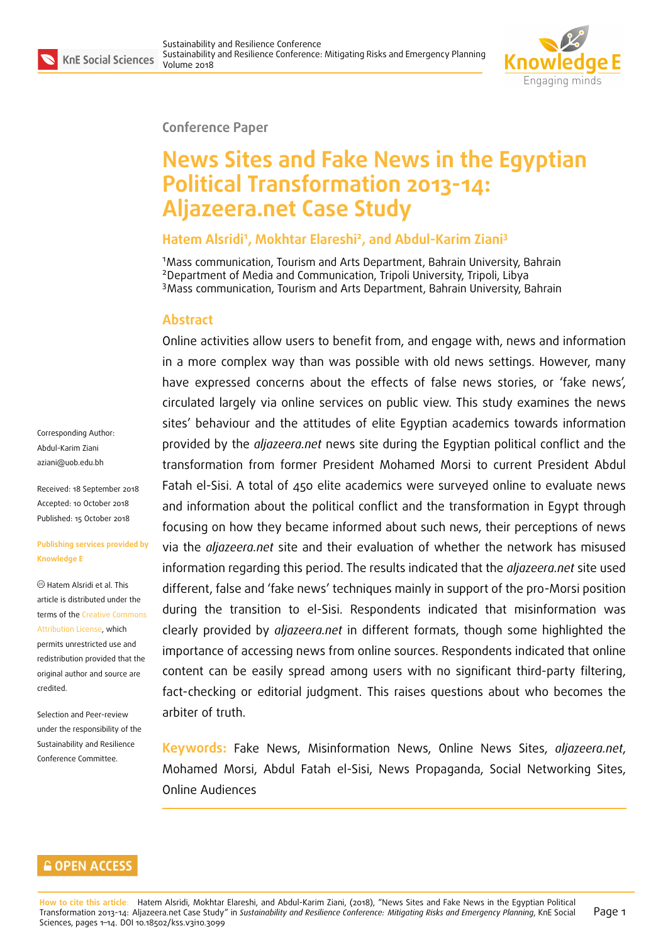Corresponding Author: Abdul-Karim Ziani aziani@uob.edu.bh

Received: 18 September 2018 Accepted: 10 October 2018 [Published: 15 Octob](mailto:aziani@uob.edu.bh)er 2018

**Publishing services provided by**

Hatem Alsridi et al. This article is distributed under the terms of the Creative Commons Attribution License, which permits unrestricted use and redistribution provided that the original auth[or and source are](https://creativecommons.org/licenses/by/4.0/)

Selection and Peer-review under the responsibility of the Sustainability and Resilience Conference Committee.

**Knowledge E**

[credited.](https://creativecommons.org/licenses/by/4.0/)



#### **Conference Paper**

# **News Sites and Fake News in the Egyptian Political Transformation 2013-14: Aljazeera.net Case Study**

#### **Hatem Alsridi<sup>1</sup> , Mokhtar Elareshi<sup>2</sup> , and Abdul-Karim Ziani<sup>3</sup>**

<sup>1</sup>Mass communication, Tourism and Arts Department, Bahrain University, Bahrain <sup>2</sup>Department of Media and Communication, Tripoli University, Tripoli, Libya <sup>3</sup>Mass communication, Tourism and Arts Department, Bahrain University, Bahrain

#### **Abstract**

Online activities allow users to benefit from, and engage with, news and information in a more complex way than was possible with old news settings. However, many have expressed concerns about the effects of false news stories, or 'fake news', circulated largely via online services on public view. This study examines the news sites' behaviour and the attitudes of elite Egyptian academics towards information provided by the *aljazeera.net* news site during the Egyptian political conflict and the transformation from former President Mohamed Morsi to current President Abdul Fatah el-Sisi. A total of 450 elite academics were surveyed online to evaluate news and information about the political conflict and the transformation in Egypt through focusing on how they became informed about such news, their perceptions of news via the *aljazeera.net* site and their evaluation of whether the network has misused information regarding this period. The results indicated that the *aljazeera.net* site used different, false and 'fake news' techniques mainly in support of the pro-Morsi position during the transition to el-Sisi. Respondents indicated that misinformation was clearly provided by *aljazeera.net* in different formats, though some highlighted the importance of accessing news from online sources. Respondents indicated that online content can be easily spread among users with no significant third-party filtering, fact-checking or editorial judgment. This raises questions about who becomes the arbiter of truth.

**Keywords:** Fake News, Misinformation News, Online News Sites, *aljazeera.net*, Mohamed Morsi, Abdul Fatah el-Sisi, News Propaganda, Social Networking Sites, Online Audiences

#### **GOPEN ACCESS**

**How to cite this article**: Hatem Alsridi, Mokhtar Elareshi, and Abdul-Karim Ziani, (2018), "News Sites and Fake News in the Egyptian Political Transformation 2013-14: Aljazeera.net Case Study" in *Sustainability and Resilience Conference: Mitigating Risks and Emergency Planning*, KnE Social Sciences, pages 1-14. DOI 10.18502/kss.v3i10.3099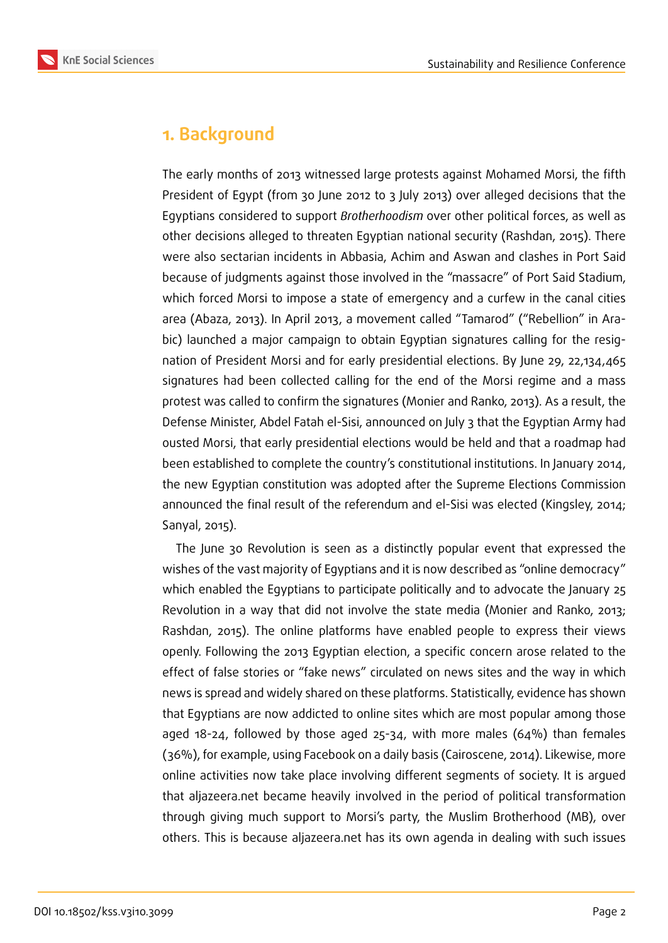

## **1. Background**

The early months of 2013 witnessed large protests against Mohamed Morsi, the fifth President of Egypt (from 30 June 2012 to 3 July 2013) over alleged decisions that the Egyptians considered to support *Brotherhoodism* over other political forces, as well as other decisions alleged to threaten Egyptian national security (Rashdan, 2015). There were also sectarian incidents in Abbasia, Achim and Aswan and clashes in Port Said because of judgments against those involved in the "massacre" of Port Said Stadium, which forced Morsi to impose a state of emergency and a curfew in the canal cities area (Abaza, 2013). In April 2013, a movement called "Tamarod" ("Rebellion" in Arabic) launched a major campaign to obtain Egyptian signatures calling for the resignation of President Morsi and for early presidential elections. By June 29, 22,134,465 signatures had been collected calling for the end of the Morsi regime and a mass protest was called to confirm the signatures (Monier and Ranko, 2013). As a result, the Defense Minister, Abdel Fatah el-Sisi, announced on July 3 that the Egyptian Army had ousted Morsi, that early presidential elections would be held and that a roadmap had been established to complete the country's constitutional institutions. In January 2014, the new Egyptian constitution was adopted after the Supreme Elections Commission announced the final result of the referendum and el-Sisi was elected (Kingsley, 2014; Sanyal, 2015).

The June 30 Revolution is seen as a distinctly popular event that expressed the wishes of the vast majority of Egyptians and it is now described as "online democracy" which enabled the Egyptians to participate politically and to advocate the January 25 Revolution in a way that did not involve the state media (Monier and Ranko, 2013; Rashdan, 2015). The online platforms have enabled people to express their views openly. Following the 2013 Egyptian election, a specific concern arose related to the effect of false stories or "fake news" circulated on news sites and the way in which news is spread and widely shared on these platforms. Statistically, evidence has shown that Egyptians are now addicted to online sites which are most popular among those aged  $18-24$ , followed by those aged  $25-34$ , with more males (64%) than females (36%), for example, using Facebook on a daily basis (Cairoscene, 2014). Likewise, more online activities now take place involving different segments of society. It is argued that aljazeera.net became heavily involved in the period of political transformation through giving much support to Morsi's party, the Muslim Brotherhood (MB), over others. This is because aljazeera.net has its own agenda in dealing with such issues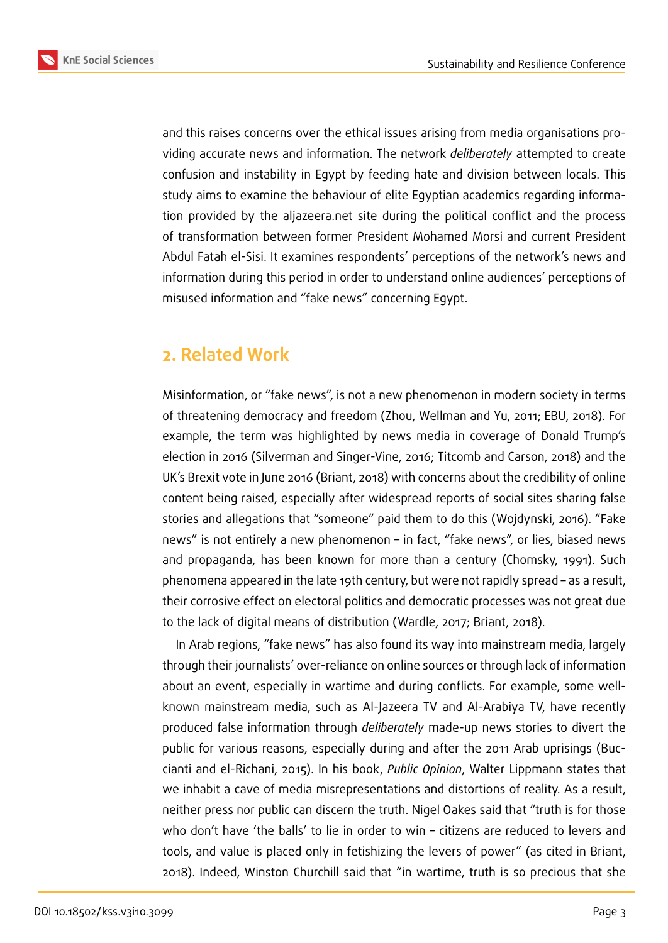



and this raises concerns over the ethical issues arising from media organisations providing accurate news and information. The network *deliberately* attempted to create

confusion and instability in Egypt by feeding hate and division between locals. This study aims to examine the behaviour of elite Egyptian academics regarding information provided by the aljazeera.net site during the political conflict and the process of transformation between former President Mohamed Morsi and current President Abdul Fatah el-Sisi. It examines respondents' perceptions of the network's news and information during this period in order to understand online audiences' perceptions of misused information and "fake news" concerning Egypt.

## **2. Related Work**

Misinformation, or "fake news", is not a new phenomenon in modern society in terms of threatening democracy and freedom (Zhou, Wellman and Yu, 2011; EBU, 2018). For example, the term was highlighted by news media in coverage of Donald Trump's election in 2016 (Silverman and Singer-Vine, 2016; Titcomb and Carson, 2018) and the UK's Brexit vote in June 2016 (Briant, 2018) with concerns about the credibility of online content being raised, especially after widespread reports of social sites sharing false stories and allegations that "someone" paid them to do this (Wojdynski, 2016). "Fake news" is not entirely a new phenomenon – in fact, "fake news", or lies, biased news and propaganda, has been known for more than a century (Chomsky, 1991). Such phenomena appeared in the late 19th century, but were not rapidly spread – as a result, their corrosive effect on electoral politics and democratic processes was not great due to the lack of digital means of distribution (Wardle, 2017; Briant, 2018).

In Arab regions, "fake news" has also found its way into mainstream media, largely through their journalists' over-reliance on online sources or through lack of information about an event, especially in wartime and during conflicts. For example, some wellknown mainstream media, such as Al-Jazeera TV and Al-Arabiya TV, have recently produced false information through *deliberately* made-up news stories to divert the public for various reasons, especially during and after the 2011 Arab uprisings (Buccianti and el-Richani, 2015). In his book, *Public Opinion*, Walter Lippmann states that we inhabit a cave of media misrepresentations and distortions of reality. As a result, neither press nor public can discern the truth. Nigel Oakes said that "truth is for those who don't have 'the balls' to lie in order to win – citizens are reduced to levers and tools, and value is placed only in fetishizing the levers of power" (as cited in Briant, 2018). Indeed, Winston Churchill said that "in wartime, truth is so precious that she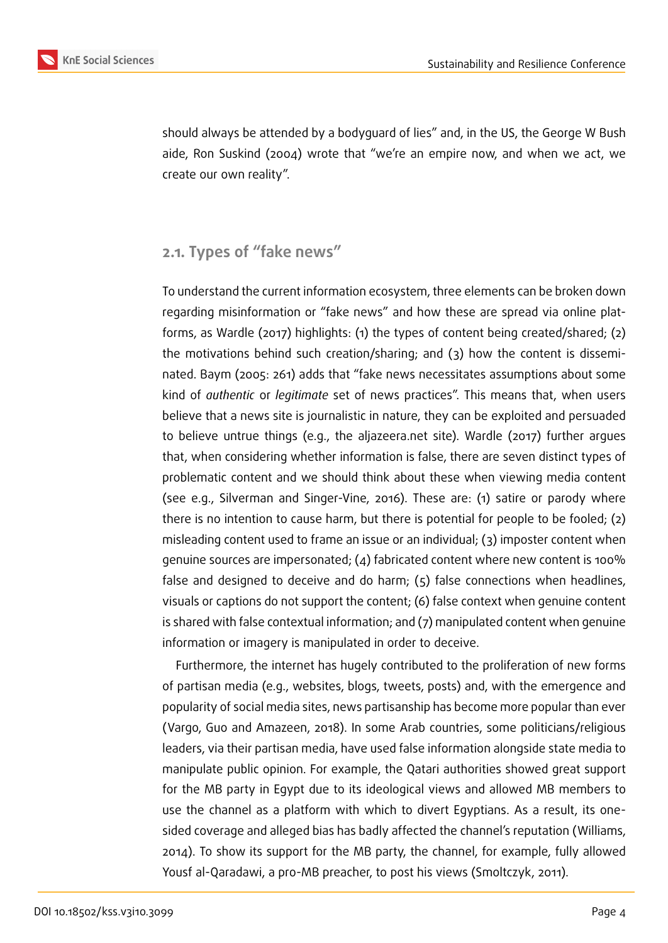



should always be attended by a bodyguard of lies" and, in the US, the George W Bush aide, Ron Suskind (2004) wrote that "we're an empire now, and when we act, we create our own reality".

### **2.1. Types of "fake news"**

To understand the current information ecosystem, three elements can be broken down regarding misinformation or "fake news" and how these are spread via online platforms, as Wardle (2017) highlights: (1) the types of content being created/shared; (2) the motivations behind such creation/sharing; and (3) how the content is disseminated. Baym (2005: 261) adds that "fake news necessitates assumptions about some kind of *authentic* or *legitimate* set of news practices". This means that, when users believe that a news site is journalistic in nature, they can be exploited and persuaded to believe untrue things (e.g., the aljazeera.net site). Wardle (2017) further argues that, when considering whether information is false, there are seven distinct types of problematic content and we should think about these when viewing media content (see e.g., Silverman and Singer-Vine, 2016). These are: (1) satire or parody where there is no intention to cause harm, but there is potential for people to be fooled; (2) misleading content used to frame an issue or an individual; (3) imposter content when genuine sources are impersonated; (4) fabricated content where new content is 100% false and designed to deceive and do harm; (5) false connections when headlines, visuals or captions do not support the content; (6) false context when genuine content is shared with false contextual information; and (7) manipulated content when genuine information or imagery is manipulated in order to deceive.

Furthermore, the internet has hugely contributed to the proliferation of new forms of partisan media (e.g., websites, blogs, tweets, posts) and, with the emergence and popularity of social media sites, news partisanship has become more popular than ever (Vargo, Guo and Amazeen, 2018). In some Arab countries, some politicians/religious leaders, via their partisan media, have used false information alongside state media to manipulate public opinion. For example, the Qatari authorities showed great support for the MB party in Egypt due to its ideological views and allowed MB members to use the channel as a platform with which to divert Egyptians. As a result, its onesided coverage and alleged bias has badly affected the channel's reputation (Williams, 2014). To show its support for the MB party, the channel, for example, fully allowed Yousf al-Qaradawi, a pro-MB preacher, to post his views (Smoltczyk, 2011).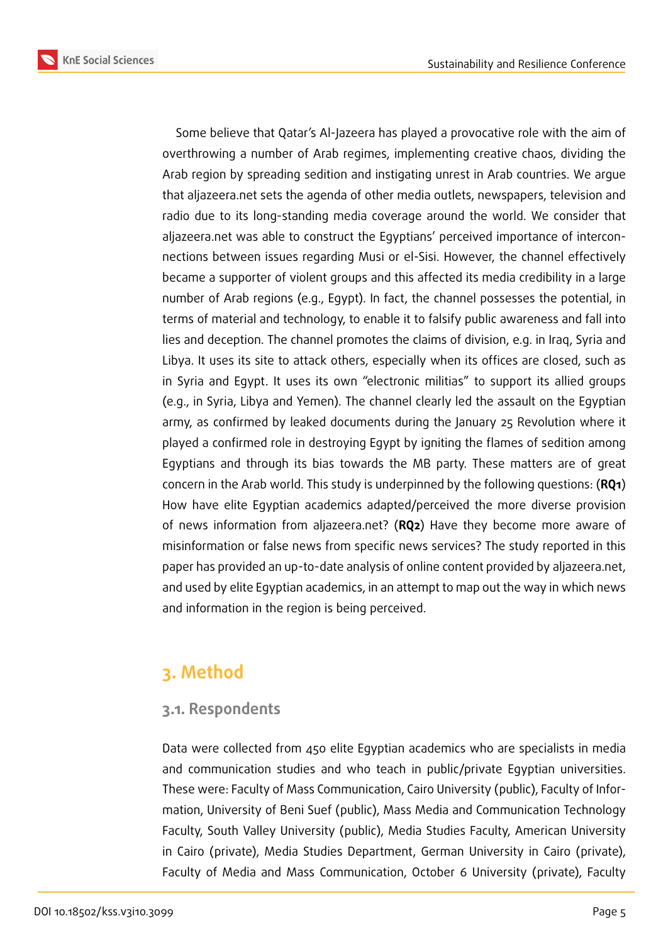

Some believe that Qatar's Al-Jazeera has played a provocative role with the aim of overthrowing a number of Arab regimes, implementing creative chaos, dividing the Arab region by spreading sedition and instigating unrest in Arab countries. We argue that aljazeera.net sets the agenda of other media outlets, newspapers, television and radio due to its long-standing media coverage around the world. We consider that aljazeera.net was able to construct the Egyptians' perceived importance of interconnections between issues regarding Musi or el-Sisi. However, the channel effectively became a supporter of violent groups and this affected its media credibility in a large number of Arab regions (e.g., Egypt). In fact, the channel possesses the potential, in terms of material and technology, to enable it to falsify public awareness and fall into lies and deception. The channel promotes the claims of division, e.g. in Iraq, Syria and Libya. It uses its site to attack others, especially when its offices are closed, such as in Syria and Egypt. It uses its own "electronic militias" to support its allied groups (e.g., in Syria, Libya and Yemen). The channel clearly led the assault on the Egyptian army, as confirmed by leaked documents during the January 25 Revolution where it played a confirmed role in destroying Egypt by igniting the flames of sedition among Egyptians and through its bias towards the MB party. These matters are of great concern in the Arab world. This study is underpinned by the following questions: (**RQ1**) How have elite Egyptian academics adapted/perceived the more diverse provision of news information from aljazeera.net? (**RQ2**) Have they become more aware of misinformation or false news from specific news services? The study reported in this paper has provided an up-to-date analysis of online content provided by aljazeera.net, and used by elite Egyptian academics, in an attempt to map out the way in which news and information in the region is being perceived.

## **3. Method**

### **3.1. Respondents**

Data were collected from 450 elite Egyptian academics who are specialists in media and communication studies and who teach in public/private Egyptian universities. These were: Faculty of Mass Communication, Cairo University (public), Faculty of Information, University of Beni Suef (public), Mass Media and Communication Technology Faculty, South Valley University (public), Media Studies Faculty, American University in Cairo (private), Media Studies Department, German University in Cairo (private), Faculty of Media and Mass Communication, October 6 University (private), Faculty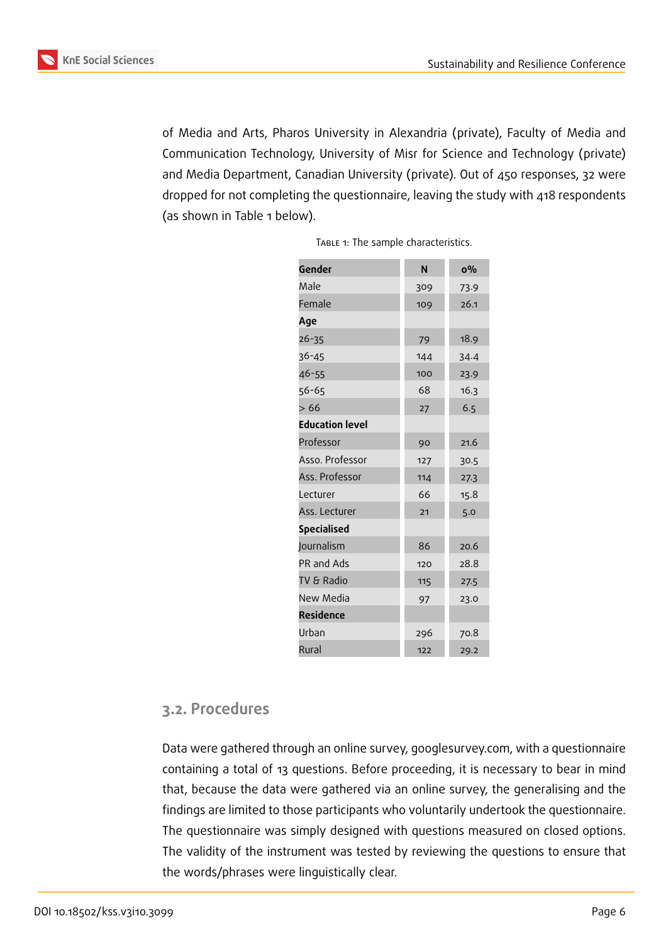

of Media and Arts, Pharos University in Alexandria (private), Faculty of Media and Communication Technology, University of Misr for Science and Technology (private) and Media Department, Canadian University (private). Out of 450 responses, 32 were dropped for not completing the questionnaire, leaving the study with 418 respondents (as shown in Table 1 below).

| Gender                 | N   | $0\%$ |
|------------------------|-----|-------|
| Male                   | 309 | 73.9  |
| Female                 | 109 | 26.1  |
| Age                    |     |       |
| $26 - 35$              | 79  | 18.9  |
| $36 - 45$              | 144 | 34.4  |
| 46-55                  | 100 | 23.9  |
| 56-65                  | 68  | 16.3  |
| >66                    | 27  | 6.5   |
| <b>Education level</b> |     |       |
| Professor              | 90  | 21.6  |
| Asso. Professor        | 127 | 30.5  |
| Ass. Professor         | 114 | 27.3  |
| Lecturer               | 66  | 15.8  |
| Ass. Lecturer          | 21  | 5.0   |
| <b>Specialised</b>     |     |       |
| Journalism             | 86  | 20.6  |
| PR and Ads             | 120 | 28.8  |
| TV & Radio             | 115 | 27.5  |
| New Media              | 97  | 23.0  |
| <b>Residence</b>       |     |       |
| Urban                  | 296 | 70.8  |
| Rural                  | 122 | 29.2  |

|  | TABLE 1: The sample characteristics. |
|--|--------------------------------------|

### **3.2. Procedures**

Data were gathered through an online survey, googlesurvey.com, with a questionnaire containing a total of 13 questions. Before proceeding, it is necessary to bear in mind that, because the data were gathered via an online survey, the generalising and the findings are limited to those participants who voluntarily undertook the questionnaire. The questionnaire was simply designed with questions measured on closed options. The validity of the instrument was tested by reviewing the questions to ensure that the words/phrases were linguistically clear.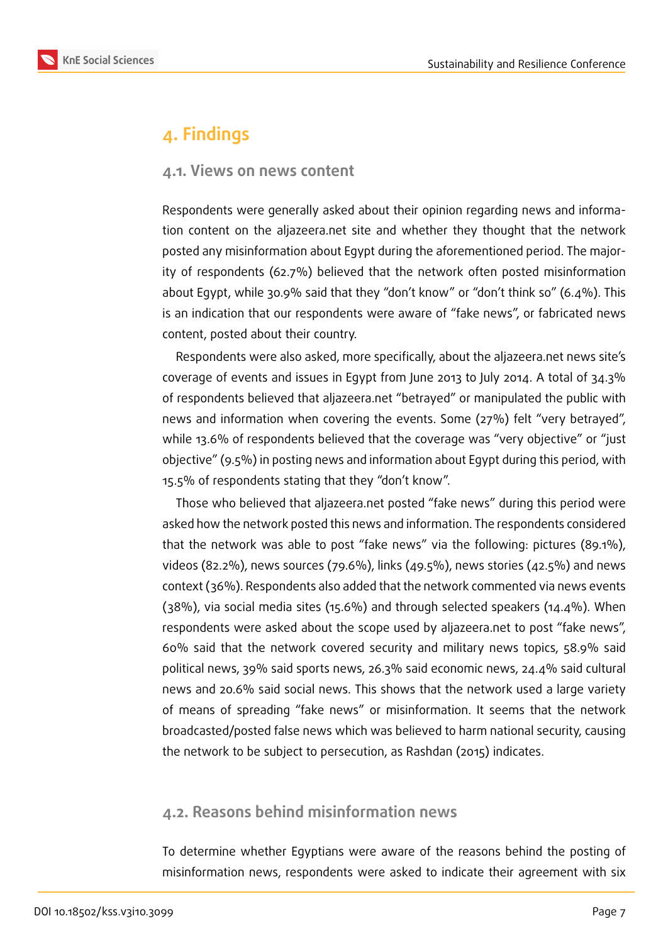

## **4. Findings**

#### **4.1. Views on news content**

Respondents were generally asked about their opinion regarding news and information content on the aljazeera.net site and whether they thought that the network posted any misinformation about Egypt during the aforementioned period. The majority of respondents (62.7%) believed that the network often posted misinformation about Egypt, while 30.9% said that they "don't know" or "don't think so" (6.4%). This is an indication that our respondents were aware of "fake news", or fabricated news content, posted about their country.

Respondents were also asked, more specifically, about the aljazeera.net news site's coverage of events and issues in Egypt from June 2013 to July 2014. A total of 34.3% of respondents believed that aljazeera.net "betrayed" or manipulated the public with news and information when covering the events. Some (27%) felt "very betrayed", while 13.6% of respondents believed that the coverage was "very objective" or "just objective" (9.5%) in posting news and information about Egypt during this period, with 15.5% of respondents stating that they "don't know".

Those who believed that aljazeera.net posted "fake news" during this period were asked how the network posted this news and information. The respondents considered that the network was able to post "fake news" via the following: pictures (89.1%), videos (82.2%), news sources (79.6%), links (49.5%), news stories (42.5%) and news context (36%). Respondents also added that the network commented via news events (38%), via social media sites (15.6%) and through selected speakers (14.4%). When respondents were asked about the scope used by aljazeera.net to post "fake news", 60% said that the network covered security and military news topics, 58.9% said political news, 39% said sports news, 26.3% said economic news, 24.4% said cultural news and 20.6% said social news. This shows that the network used a large variety of means of spreading "fake news" or misinformation. It seems that the network broadcasted/posted false news which was believed to harm national security, causing the network to be subject to persecution, as Rashdan (2015) indicates.

### **4.2. Reasons behind misinformation news**

To determine whether Egyptians were aware of the reasons behind the posting of misinformation news, respondents were asked to indicate their agreement with six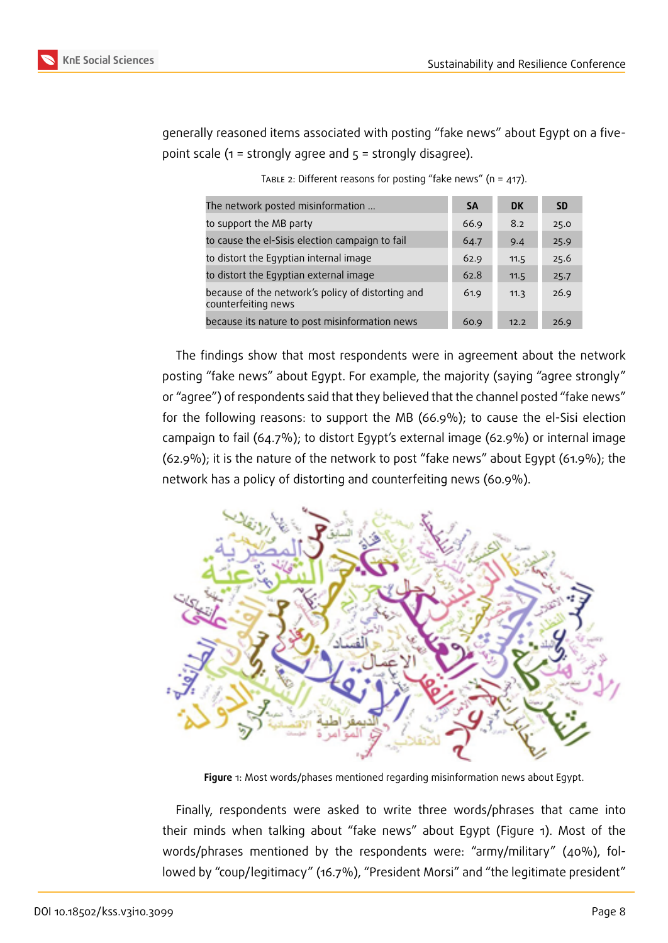generally reasoned items associated with posting "fake news" about Egypt on a fivepoint scale ( $1 =$  strongly agree and  $5 =$  strongly disagree).

| The network posted misinformation                                        | <b>SA</b> | <b>DK</b> | <b>SD</b> |
|--------------------------------------------------------------------------|-----------|-----------|-----------|
| to support the MB party                                                  | 66.9      | 8.2       | 25.0      |
| to cause the el-Sisis election campaign to fail                          | 64.7      | 9.4       | 25.9      |
| to distort the Egyptian internal image                                   | 62.9      | 11.5      | 25.6      |
| to distort the Egyptian external image                                   | 62.8      | 11.5      | 25.7      |
| because of the network's policy of distorting and<br>counterfeiting news | 61.9      | 11.3      | 26.9      |
| because its nature to post misinformation news                           | 60.9      | 12.2      | 26.9      |

TABLE 2: Different reasons for posting "fake news" ( $n = 417$ ).

The findings show that most respondents were in agreement about the network posting "fake news" about Egypt. For example, the majority (saying "agree strongly" or "agree") of respondents said that they believed that the channel posted "fake news" for the following reasons: to support the MB (66.9%); to cause the el-Sisi election campaign to fail (64.7%); to distort Egypt's external image (62.9%) or internal image (62.9%); it is the nature of the network to post "fake news" about Egypt (61.9%); the network has a policy of distorting and counterfeiting news (60.9%).



<span id="page-7-0"></span>**Figure** 1: Most words/phases mentioned regarding misinformation news about Egypt.

Finally, respondents were asked to write three words/phrases that came into their minds when talking about "fake news" about Egypt (Figure 1). Most of the words/phrases mentioned by the respondents were: "army/military" (40%), followed by "coup/legitimacy" (16.7%), "President Morsi" and "the legiti[m](#page-7-0)ate president"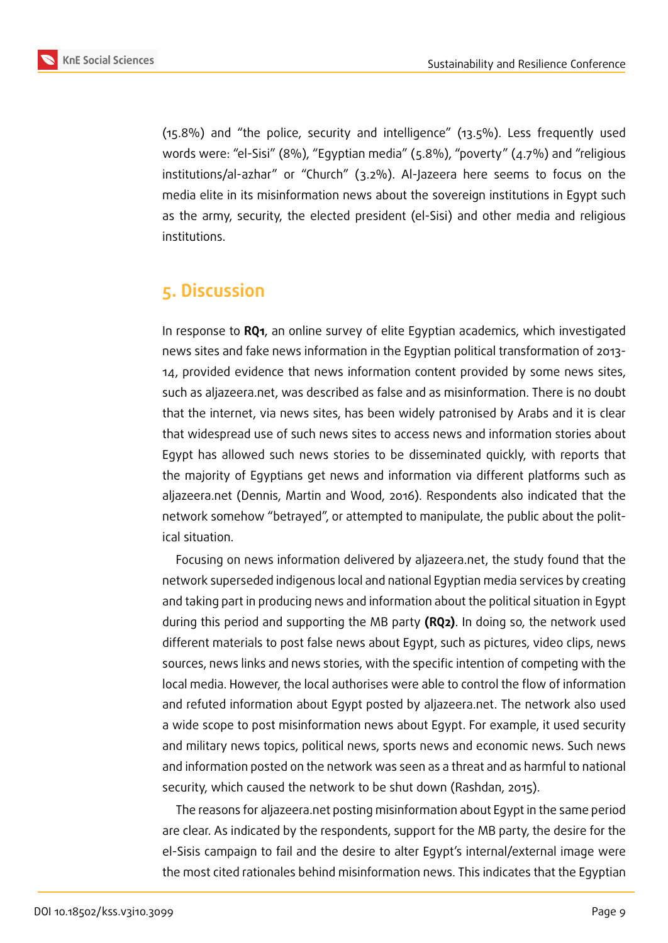

(15.8%) and "the police, security and intelligence" (13.5%). Less frequently used words were: "el-Sisi" (8%), "Egyptian media" (5.8%), "poverty" (4.7%) and "religious institutions/al-azhar" or "Church" (3.2%). Al-Jazeera here seems to focus on the media elite in its misinformation news about the sovereign institutions in Egypt such as the army, security, the elected president (el-Sisi) and other media and religious institutions.

### **5. Discussion**

In response to **RQ1**, an online survey of elite Egyptian academics, which investigated news sites and fake news information in the Egyptian political transformation of 2013- 14, provided evidence that news information content provided by some news sites, such as aljazeera.net, was described as false and as misinformation. There is no doubt that the internet, via news sites, has been widely patronised by Arabs and it is clear that widespread use of such news sites to access news and information stories about Egypt has allowed such news stories to be disseminated quickly, with reports that the majority of Egyptians get news and information via different platforms such as aljazeera.net (Dennis, Martin and Wood, 2016). Respondents also indicated that the network somehow "betrayed", or attempted to manipulate, the public about the political situation.

Focusing on news information delivered by aljazeera.net, the study found that the network superseded indigenous local and national Egyptian media services by creating and taking part in producing news and information about the political situation in Egypt during this period and supporting the MB party **(RQ2)**. In doing so, the network used different materials to post false news about Egypt, such as pictures, video clips, news sources, news links and news stories, with the specific intention of competing with the local media. However, the local authorises were able to control the flow of information and refuted information about Egypt posted by aljazeera.net. The network also used a wide scope to post misinformation news about Egypt. For example, it used security and military news topics, political news, sports news and economic news. Such news and information posted on the network was seen as a threat and as harmful to national security, which caused the network to be shut down (Rashdan, 2015).

The reasons for aljazeera.net posting misinformation about Egypt in the same period are clear. As indicated by the respondents, support for the MB party, the desire for the el-Sisis campaign to fail and the desire to alter Egypt's internal/external image were the most cited rationales behind misinformation news. This indicates that the Egyptian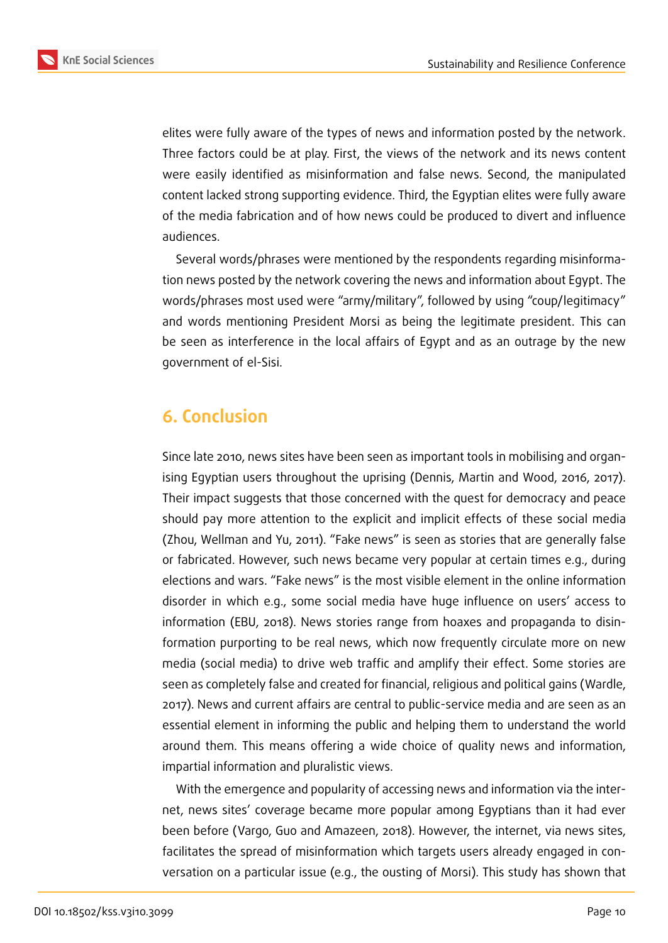

elites were fully aware of the types of news and information posted by the network. Three factors could be at play. First, the views of the network and its news content were easily identified as misinformation and false news. Second, the manipulated content lacked strong supporting evidence. Third, the Egyptian elites were fully aware of the media fabrication and of how news could be produced to divert and influence audiences.

Several words/phrases were mentioned by the respondents regarding misinformation news posted by the network covering the news and information about Egypt. The words/phrases most used were "army/military", followed by using "coup/legitimacy" and words mentioning President Morsi as being the legitimate president. This can be seen as interference in the local affairs of Egypt and as an outrage by the new government of el-Sisi.

## **6. Conclusion**

Since late 2010, news sites have been seen as important tools in mobilising and organising Egyptian users throughout the uprising (Dennis, Martin and Wood, 2016, 2017). Their impact suggests that those concerned with the quest for democracy and peace should pay more attention to the explicit and implicit effects of these social media (Zhou, Wellman and Yu, 2011). "Fake news" is seen as stories that are generally false or fabricated. However, such news became very popular at certain times e.g., during elections and wars. "Fake news" is the most visible element in the online information disorder in which e.g., some social media have huge influence on users' access to information (EBU, 2018). News stories range from hoaxes and propaganda to disinformation purporting to be real news, which now frequently circulate more on new media (social media) to drive web traffic and amplify their effect. Some stories are seen as completely false and created for financial, religious and political gains (Wardle, 2017). News and current affairs are central to public-service media and are seen as an essential element in informing the public and helping them to understand the world around them. This means offering a wide choice of quality news and information, impartial information and pluralistic views.

With the emergence and popularity of accessing news and information via the internet, news sites' coverage became more popular among Egyptians than it had ever been before (Vargo, Guo and Amazeen, 2018). However, the internet, via news sites, facilitates the spread of misinformation which targets users already engaged in conversation on a particular issue (e.g., the ousting of Morsi). This study has shown that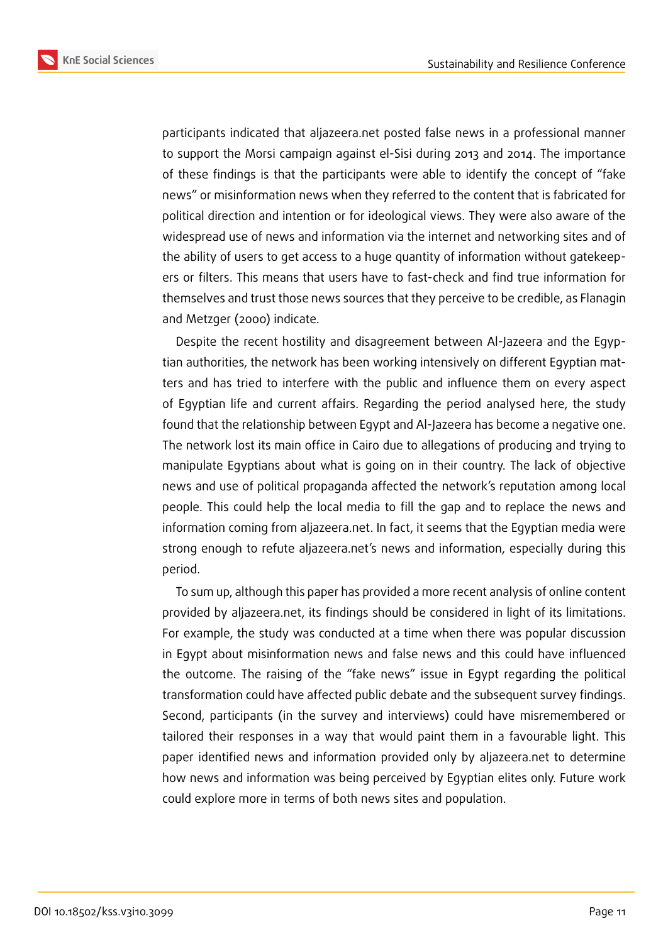**KnE Social Sciences** 



participants indicated that aljazeera.net posted false news in a professional manner to support the Morsi campaign against el-Sisi during 2013 and 2014. The importance of these findings is that the participants were able to identify the concept of "fake news" or misinformation news when they referred to the content that is fabricated for political direction and intention or for ideological views. They were also aware of the widespread use of news and information via the internet and networking sites and of the ability of users to get access to a huge quantity of information without gatekeepers or filters. This means that users have to fast-check and find true information for themselves and trust those news sources that they perceive to be credible, as Flanagin and Metzger (2000) indicate.

Despite the recent hostility and disagreement between Al-Jazeera and the Egyptian authorities, the network has been working intensively on different Egyptian matters and has tried to interfere with the public and influence them on every aspect of Egyptian life and current affairs. Regarding the period analysed here, the study found that the relationship between Egypt and Al-Jazeera has become a negative one. The network lost its main office in Cairo due to allegations of producing and trying to manipulate Egyptians about what is going on in their country. The lack of objective news and use of political propaganda affected the network's reputation among local people. This could help the local media to fill the gap and to replace the news and information coming from aljazeera.net. In fact, it seems that the Egyptian media were strong enough to refute aljazeera.net's news and information, especially during this period.

To sum up, although this paper has provided a more recent analysis of online content provided by aljazeera.net, its findings should be considered in light of its limitations. For example, the study was conducted at a time when there was popular discussion in Egypt about misinformation news and false news and this could have influenced the outcome. The raising of the "fake news" issue in Egypt regarding the political transformation could have affected public debate and the subsequent survey findings. Second, participants (in the survey and interviews) could have misremembered or tailored their responses in a way that would paint them in a favourable light. This paper identified news and information provided only by aljazeera.net to determine how news and information was being perceived by Egyptian elites only. Future work could explore more in terms of both news sites and population.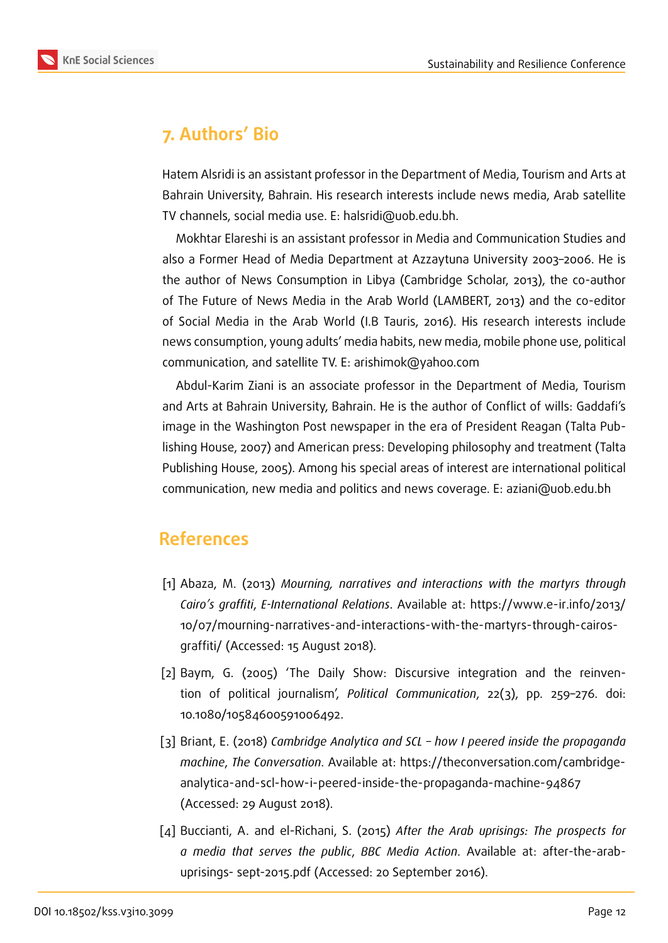## **7. Authors' Bio**

Hatem Alsridi is an assistant professor in the Department of Media, Tourism and Arts at Bahrain University, Bahrain. His research interests include news media, Arab satellite TV channels, social media use. E: halsridi@uob.edu.bh.

Mokhtar Elareshi is an assistant professor in Media and Communication Studies and also a Former Head of Media Department at Azzaytuna University 2003–2006. He is the author of News Consumption in Libya (Cambridge Scholar, 2013), the co-author of The Future of News Media in the Arab World (LAMBERT, 2013) and the co-editor of Social Media in the Arab World (I.B Tauris, 2016). His research interests include news consumption, young adults' media habits, new media, mobile phone use, political communication, and satellite TV. E: arishimok@yahoo.com

Abdul-Karim Ziani is an associate professor in the Department of Media, Tourism and Arts at Bahrain University, Bahrain. He is the author of Conflict of wills: Gaddafi's image in the Washington Post newspaper in the era of President Reagan (Talta Publishing House, 2007) and American press: Developing philosophy and treatment (Talta Publishing House, 2005). Among his special areas of interest are international political communication, new media and politics and news coverage. E: aziani@uob.edu.bh

### **References**

- [1] Abaza, M. (2013) *Mourning, narratives and interactions with the martyrs through Cairo's graffiti*, *E-International Relations*. Available at: https://www.e-ir.info/2013/ 10/07/mourning-narratives-and-interactions-with-the-martyrs-through-cairosgraffiti/ (Accessed: 15 August 2018).
- [2] [Baym, G. \(2005\) 'The Daily Show: Discursive integration and the reinven](https://www.e-ir.info/2013/10/07/mourning-narratives-and-interactions-with-the-martyrs-through- cairos-graffiti/)[tion of](https://www.e-ir.info/2013/10/07/mourning-narratives-and-interactions-with-the-martyrs-through- cairos-graffiti/) political journalism', *Political Communication*, 22(3), pp. 259–276. doi: 10.1080/10584600591006492.
- [3] Briant, E. (2018) *Cambridge Analytica and SCL how I peered inside the propaganda machine*, *The Conversation*. Available at: https://theconversation.com/cambridgeanalytica-and-scl-how-i-peered-inside-the-propaganda-machine-94867 (Accessed: 29 August 2018).
- [4] [Buccianti, A. and el-Richani, S. \(2015\)](https://theconversation.com/cambridge- analytica-and-scl-how-i-peered-inside-the-propaganda-machine-94867) *[After the Arab uprisings: The prospects for](https://theconversation.com/cambridge- analytica-and-scl-how-i-peered-inside-the-propaganda-machine-94867) a media that serves the public*, *BBC Media Action*. Available at: after-the-arabuprisings- sept-2015.pdf (Accessed: 20 September 2016).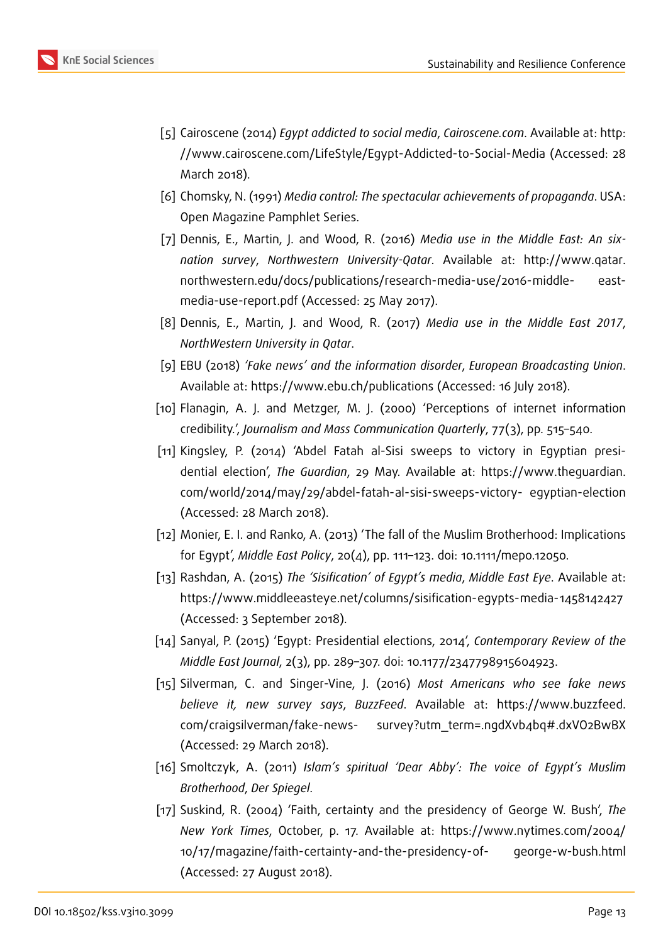- [5] Cairoscene (2014) *Egypt addicted to social media*, *Cairoscene.com*. Available at: http: //www.cairoscene.com/LifeStyle/Egypt-Addicted-to-Social-Media (Accessed: 28 March 2018).
- [6] Chomsky, N. (1991) *Media control: The spectacular achievements of propaganda*. [USA:](http://www.cairoscene.com/LifeStyle/Egypt-Addicted-to-Social-Media) [Open Magazine Pamphlet Series.](http://www.cairoscene.com/LifeStyle/Egypt-Addicted-to-Social-Media)
- [7] Dennis, E., Martin, J. and Wood, R. (2016) *Media use in the Middle East: An sixnation survey*, *Northwestern University-Qatar*. Available at: http://www.qatar. northwestern.edu/docs/publications/research-media-use/2016-middle- eastmedia-use-report.pdf (Accessed: 25 May 2017).
- [8] Dennis, E., Martin, J. and Wood, R. (2017) *Media use in the [Middle East 2017](http://www.qatar.northwestern.edu/docs/publications/research-media-use/2016-middle-)*, *[NorthWestern University in Qatar](http://www.qatar.northwestern.edu/docs/publications/research-media-use/2016-middle-)*.
- [9] EBU (2018) *'Fake news' and the information disorder*, *European Broadcasting Union*. Available at: https://www.ebu.ch/publications (Accessed: 16 July 2018).
- [10] Flanagin, A. J. and Metzger, M. J. (2000) 'Perceptions of internet information credibility.', *Journalism and Mass Communication Quarterly*, 77(3), pp. 515–540.
- [11] Kingsley, P. [\(2014\) 'Abdel Fatah al-Sisi swee](https://www.ebu.ch/publications)ps to victory in Egyptian presidential election', *The Guardian*, 29 May. Available at: https://www.theguardian. com/world/2014/may/29/abdel-fatah-al-sisi-sweeps-victory- egyptian-election (Accessed: 28 March 2018).
- [12] Monier, E. I. and Ranko, A. (2013) 'The fall of the Musli[m Brotherhood: Implications](https://www.theguardian.com/world/2014/may/29/abdel-fatah-al-sisi-sweeps-victory-) for Egypt', *Middle East Policy*[, 20\(4\), pp. 111–123. doi: 10.1111/mep](https://www.theguardian.com/world/2014/may/29/abdel-fatah-al-sisi-sweeps-victory-)o.12050.
- [13] Rashdan, A. (2015) *The 'Sisification' of Egypt's media*, *Middle East Eye*. Available at: https://www.middleeasteye.net/columns/sisification-egypts-media-1458142427 (Accessed: 3 September 2018).
- [14] Sanyal, P. (2015) 'Egypt: Presidential elections, 2014', *Contemporary Review of the Middle East Journal*[, 2\(3\), pp. 289–307. doi: 10.1177/2347798915604923.](https://www.middleeasteye.net/columns/sisification-egypts-media-1458142427)
- [15] Silverman, C. and Singer-Vine, J. (2016) *Most Americans who see fake news believe it, new survey says*, *BuzzFeed*. Available at: https://www.buzzfeed. com/craigsilverman/fake-news- survey?utm\_term=.ngdXvb4bq#.dxVO2BwBX (Accessed: 29 March 2018).
- [16] Smoltczyk, A. (2011) *Islam's spiritual 'Dear Abby': The [voice of Egypt's Muslim](https://www.buzzfeed.com/craigsilverman/fake-news-) [Brotherhood](https://www.buzzfeed.com/craigsilverman/fake-news-)*, *Der Spiegel*.
- [17] Suskind, R. (2004) 'Faith, certainty and the presidency of George W. Bush', *The New York Times*, October, p. 17. Available at: https://www.nytimes.com/2004/ 10/17/magazine/faith-certainty-and-the-presidency-of- george-w-bush.html (Accessed: 27 August 2018).